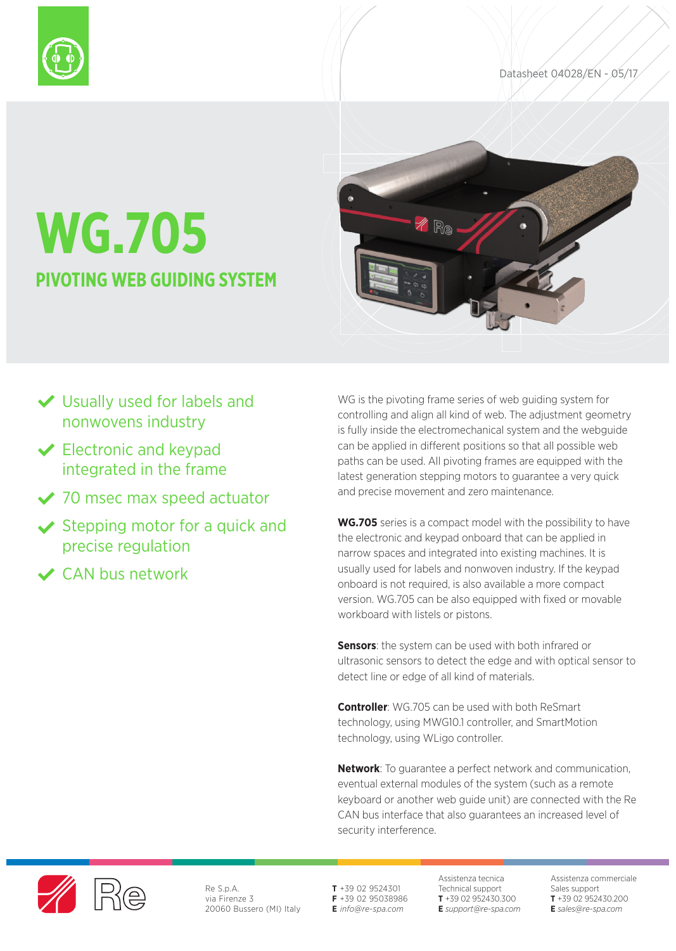

# **WG.705 PIVOTING WEB GUIDING SYSTEM**



## Usually used for labels and nonwovens industry

- **◆ Electronic and keypad** integrated in the frame
- ◆ 70 msec max speed actuator
- $\checkmark$  Stepping motor for a quick and precise regulation
- CAN bus network

WG is the pivoting frame series of web guiding system for controlling and align all kind of web. The adjustment geometry is fully inside the electromechanical system and the webguide can be applied in different positions so that all possible web paths can be used. All pivoting frames are equipped with the latest generation stepping motors to guarantee a very quick and precise movement and zero maintenance.

**WG.705** series is a compact model with the possibility to have the electronic and keypad onboard that can be applied in narrow spaces and integrated into existing machines. It is usually used for labels and nonwoven industry. If the keypad onboard is not required, is also available a more compact version. WG.705 can be also equipped with fixed or movable workboard with listels or pistons.

**Sensors**: the system can be used with both infrared or ultrasonic sensors to detect the edge and with optical sensor to detect line or edge of all kind of materials.

**Controller**: WG.705 can be used with both ReSmart technology, using MWG10.1 controller, and SmartMotion technology, using WLigo controller.

**Network**: To guarantee a perfect network and communication, eventual external modules of the system (such as a remote keyboard or another web guide unit) are connected with the Re CAN bus interface that also guarantees an increased level of security interference.



Re S.p.A. via Firenze 3 20060 Bussero (MI) Italy **T** +39 02 9524301 **F** +39 02 95038986 **E** *info@re-spa.com*

Assistenza tecnica Technical support **T** +39 02 952430.300 **E** *support@re-spa.com* Assistenza commerciale Sales support **T** +39 02 952430.200 **E** *sales@re-spa.com*